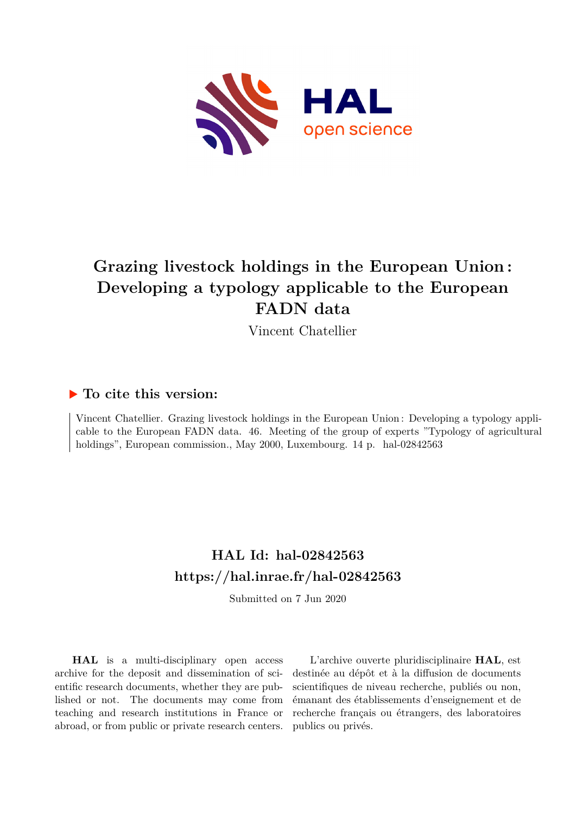

# **Grazing livestock holdings in the European Union : Developing a typology applicable to the European FADN data**

Vincent Chatellier

### **To cite this version:**

Vincent Chatellier. Grazing livestock holdings in the European Union : Developing a typology applicable to the European FADN data. 46. Meeting of the group of experts "Typology of agricultural holdings", European commission., May 2000, Luxembourg. 14 p. hal-02842563

## **HAL Id: hal-02842563 <https://hal.inrae.fr/hal-02842563>**

Submitted on 7 Jun 2020

**HAL** is a multi-disciplinary open access archive for the deposit and dissemination of scientific research documents, whether they are published or not. The documents may come from teaching and research institutions in France or abroad, or from public or private research centers.

L'archive ouverte pluridisciplinaire **HAL**, est destinée au dépôt et à la diffusion de documents scientifiques de niveau recherche, publiés ou non, émanant des établissements d'enseignement et de recherche français ou étrangers, des laboratoires publics ou privés.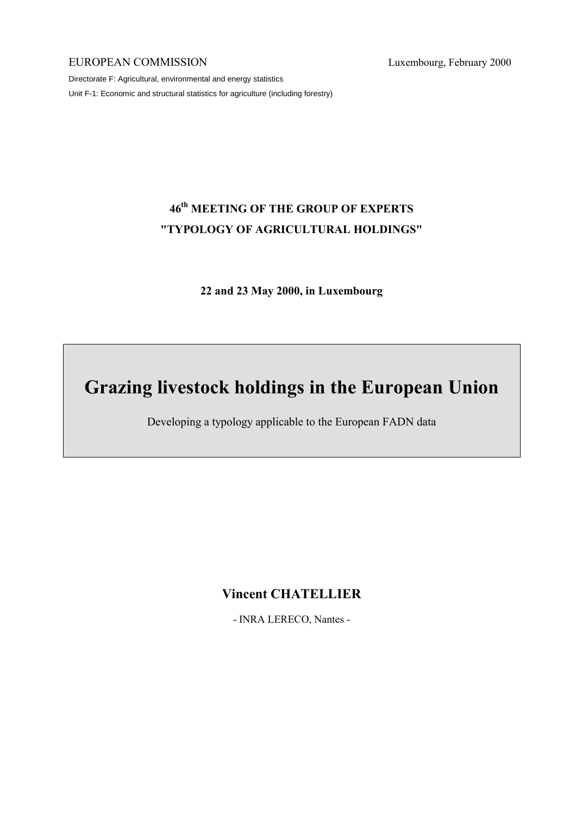#### EUROPEAN COMMISSION Luxembourg, February 2000

Directorate F: Agricultural, environmental and energy statistics Unit F-1: Economic and structural statistics for agriculture (including forestry)

# 46<sup>th</sup> MEETING OF THE GROUP OF EXPERTS "TYPOLOGY OF AGRICULTURAL HOLDINGS"

22 and 23 May 2000, in Luxembourg

# Grazing livestock holdings in the European Union

Developing a typology applicable to the European FADN data

Vincent CHATELLIER

- INRA LERECO, Nantes -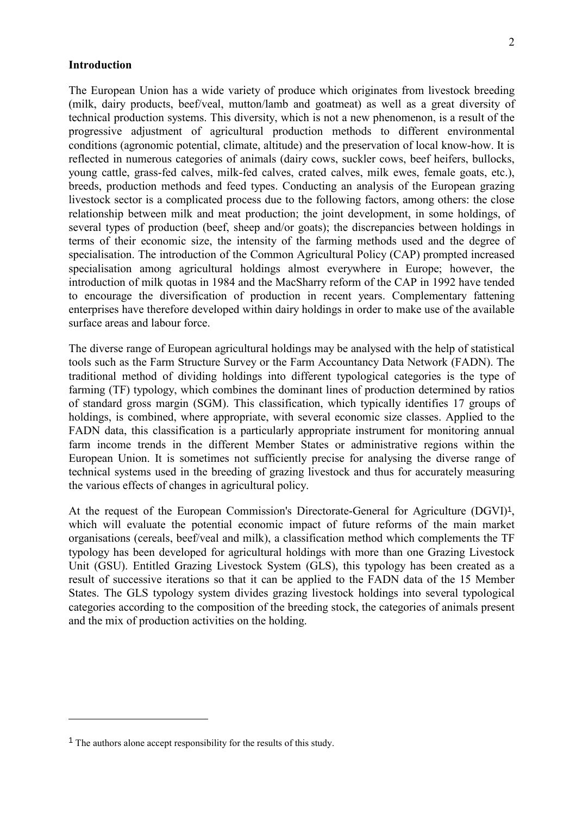#### Introduction

The European Union has a wide variety of produce which originates from livestock breeding (milk, dairy products, beef/veal, mutton/lamb and goatmeat) as well as a great diversity of technical production systems. This diversity, which is not a new phenomenon, is a result of the progressive adjustment of agricultural production methods to different environmental conditions (agronomic potential, climate, altitude) and the preservation of local know-how. It is reflected in numerous categories of animals (dairy cows, suckler cows, beef heifers, bullocks, young cattle, grass-fed calves, milk-fed calves, crated calves, milk ewes, female goats, etc.), breeds, production methods and feed types. Conducting an analysis of the European grazing livestock sector is a complicated process due to the following factors, among others: the close relationship between milk and meat production; the joint development, in some holdings, of several types of production (beef, sheep and/or goats); the discrepancies between holdings in terms of their economic size, the intensity of the farming methods used and the degree of specialisation. The introduction of the Common Agricultural Policy (CAP) prompted increased specialisation among agricultural holdings almost everywhere in Europe; however, the introduction of milk quotas in 1984 and the MacSharry reform of the CAP in 1992 have tended to encourage the diversification of production in recent years. Complementary fattening enterprises have therefore developed within dairy holdings in order to make use of the available surface areas and labour force.

The diverse range of European agricultural holdings may be analysed with the help of statistical tools such as the Farm Structure Survey or the Farm Accountancy Data Network (FADN). The traditional method of dividing holdings into different typological categories is the type of farming (TF) typology, which combines the dominant lines of production determined by ratios of standard gross margin (SGM). This classification, which typically identifies 17 groups of holdings, is combined, where appropriate, with several economic size classes. Applied to the FADN data, this classification is a particularly appropriate instrument for monitoring annual farm income trends in the different Member States or administrative regions within the European Union. It is sometimes not sufficiently precise for analysing the diverse range of technical systems used in the breeding of grazing livestock and thus for accurately measuring the various effects of changes in agricultural policy.

At the request of the European Commission's Directorate-General for Agriculture (DGVI)<sup>1</sup>, which will evaluate the potential economic impact of future reforms of the main market organisations (cereals, beef/veal and milk), a classification method which complements the TF typology has been developed for agricultural holdings with more than one Grazing Livestock Unit (GSU). Entitled Grazing Livestock System (GLS), this typology has been created as a result of successive iterations so that it can be applied to the FADN data of the 15 Member States. The GLS typology system divides grazing livestock holdings into several typological categories according to the composition of the breeding stock, the categories of animals present and the mix of production activities on the holding.

 $\overline{a}$ 

<sup>1</sup> The authors alone accept responsibility for the results of this study.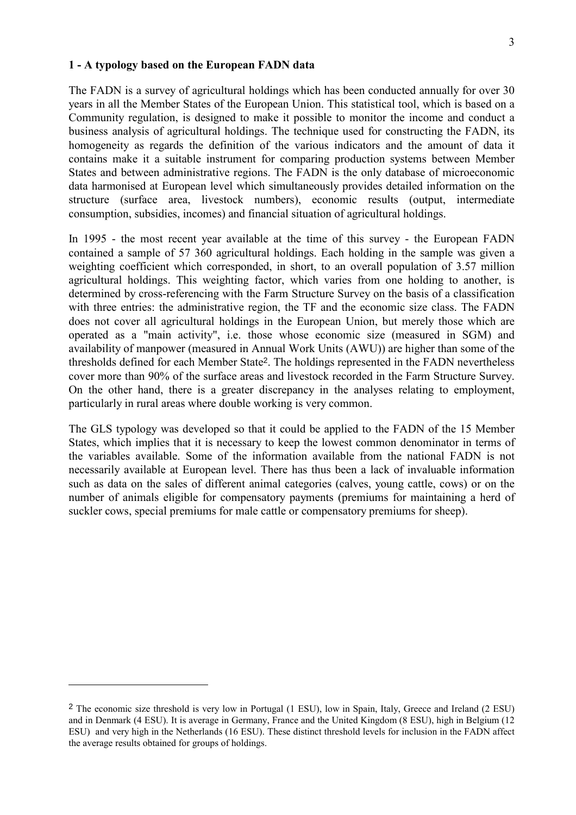The FADN is a survey of agricultural holdings which has been conducted annually for over 30 years in all the Member States of the European Union. This statistical tool, which is based on a Community regulation, is designed to make it possible to monitor the income and conduct a business analysis of agricultural holdings. The technique used for constructing the FADN, its homogeneity as regards the definition of the various indicators and the amount of data it contains make it a suitable instrument for comparing production systems between Member States and between administrative regions. The FADN is the only database of microeconomic data harmonised at European level which simultaneously provides detailed information on the structure (surface area, livestock numbers), economic results (output, intermediate consumption, subsidies, incomes) and financial situation of agricultural holdings.

In 1995 - the most recent year available at the time of this survey - the European FADN contained a sample of 57 360 agricultural holdings. Each holding in the sample was given a weighting coefficient which corresponded, in short, to an overall population of 3.57 million agricultural holdings. This weighting factor, which varies from one holding to another, is determined by cross-referencing with the Farm Structure Survey on the basis of a classification with three entries: the administrative region, the TF and the economic size class. The FADN does not cover all agricultural holdings in the European Union, but merely those which are operated as a "main activity", i.e. those whose economic size (measured in SGM) and availability of manpower (measured in Annual Work Units (AWU)) are higher than some of the thresholds defined for each Member State<sup>2</sup>. The holdings represented in the FADN nevertheless cover more than 90% of the surface areas and livestock recorded in the Farm Structure Survey. On the other hand, there is a greater discrepancy in the analyses relating to employment, particularly in rural areas where double working is very common.

The GLS typology was developed so that it could be applied to the FADN of the 15 Member States, which implies that it is necessary to keep the lowest common denominator in terms of the variables available. Some of the information available from the national FADN is not necessarily available at European level. There has thus been a lack of invaluable information such as data on the sales of different animal categories (calves, young cattle, cows) or on the number of animals eligible for compensatory payments (premiums for maintaining a herd of suckler cows, special premiums for male cattle or compensatory premiums for sheep).

 $\overline{a}$ 

<sup>2</sup> The economic size threshold is very low in Portugal (1 ESU), low in Spain, Italy, Greece and Ireland (2 ESU) and in Denmark (4 ESU). It is average in Germany, France and the United Kingdom (8 ESU), high in Belgium (12 ESU) and very high in the Netherlands (16 ESU). These distinct threshold levels for inclusion in the FADN affect the average results obtained for groups of holdings.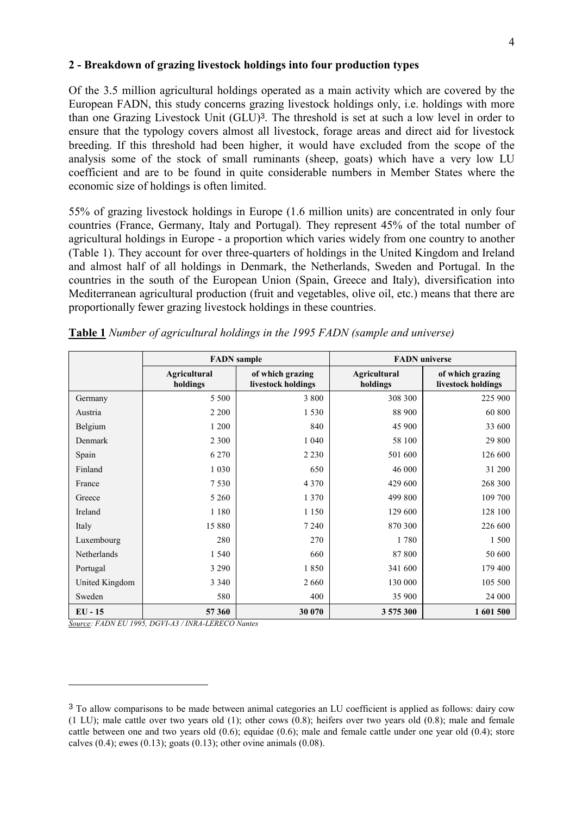#### 2 - Breakdown of grazing livestock holdings into four production types

Of the 3.5 million agricultural holdings operated as a main activity which are covered by the European FADN, this study concerns grazing livestock holdings only, i.e. holdings with more than one Grazing Livestock Unit (GLU)<sup>3</sup>. The threshold is set at such a low level in order to ensure that the typology covers almost all livestock, forage areas and direct aid for livestock breeding. If this threshold had been higher, it would have excluded from the scope of the analysis some of the stock of small ruminants (sheep, goats) which have a very low LU coefficient and are to be found in quite considerable numbers in Member States where the economic size of holdings is often limited.

55% of grazing livestock holdings in Europe (1.6 million units) are concentrated in only four countries (France, Germany, Italy and Portugal). They represent 45% of the total number of agricultural holdings in Europe - a proportion which varies widely from one country to another (Table 1). They account for over three-quarters of holdings in the United Kingdom and Ireland and almost half of all holdings in Denmark, the Netherlands, Sweden and Portugal. In the countries in the south of the European Union (Spain, Greece and Italy), diversification into Mediterranean agricultural production (fruit and vegetables, olive oil, etc.) means that there are proportionally fewer grazing livestock holdings in these countries.

|                |                          | <b>FADN</b> sample                     |                                 | <b>FADN</b> universe                   |
|----------------|--------------------------|----------------------------------------|---------------------------------|----------------------------------------|
|                | Agricultural<br>holdings | of which grazing<br>livestock holdings | <b>Agricultural</b><br>holdings | of which grazing<br>livestock holdings |
| Germany        | 5 5 0 0                  | 3 8 0 0                                | 308 300                         | 225 900                                |
| Austria        | 2 2 0 0                  | 1 5 3 0                                | 88 900                          | 60 800                                 |
| Belgium        | 1 200                    | 840                                    | 45 900                          | 33 600                                 |
| Denmark        | 2 3 0 0                  | 1 0 4 0                                | 58 100                          | 29 800                                 |
| Spain          | 6 2 7 0                  | 2 2 3 0                                | 501 600                         | 126 600                                |
| Finland        | 1 0 3 0                  | 650                                    | 46 000                          | 31 200                                 |
| France         | 7 5 3 0                  | 4 3 7 0                                | 429 600                         | 268 300                                |
| Greece         | 5 2 6 0                  | 1 3 7 0                                | 499 800                         | 109 700                                |
| Ireland        | 1 1 8 0                  | 1 1 5 0                                | 129 600                         | 128 100                                |
| Italy          | 15 880                   | 7 2 4 0                                | 870 300                         | 226 600                                |
| Luxembourg     | 280                      | 270                                    | 1780                            | 1 500                                  |
| Netherlands    | 1 5 4 0                  | 660                                    | 87 800                          | 50 600                                 |
| Portugal       | 3 2 9 0                  | 1850                                   | 341 600                         | 179 400                                |
| United Kingdom | 3 3 4 0                  | 2660                                   | 130 000                         | 105 500                                |
| Sweden         | 580                      | 400                                    | 35 900                          | 24 000                                 |
| $EU - 15$      | 57 360                   | 30 070                                 | 3 575 300                       | 1 601 500                              |

Table 1 Number of agricultural holdings in the 1995 FADN (sample and universe)

Source: FADN EU 1995, DGVI-A3 / INRA-LERECO Nantes

 $\overline{a}$ 

<sup>3</sup> To allow comparisons to be made between animal categories an LU coefficient is applied as follows: dairy cow (1 LU); male cattle over two years old (1); other cows (0.8); heifers over two years old (0.8); male and female cattle between one and two years old  $(0.6)$ ; equidae  $(0.6)$ ; male and female cattle under one year old  $(0.4)$ ; store calves  $(0.4)$ ; ewes  $(0.13)$ ; goats  $(0.13)$ ; other ovine animals  $(0.08)$ .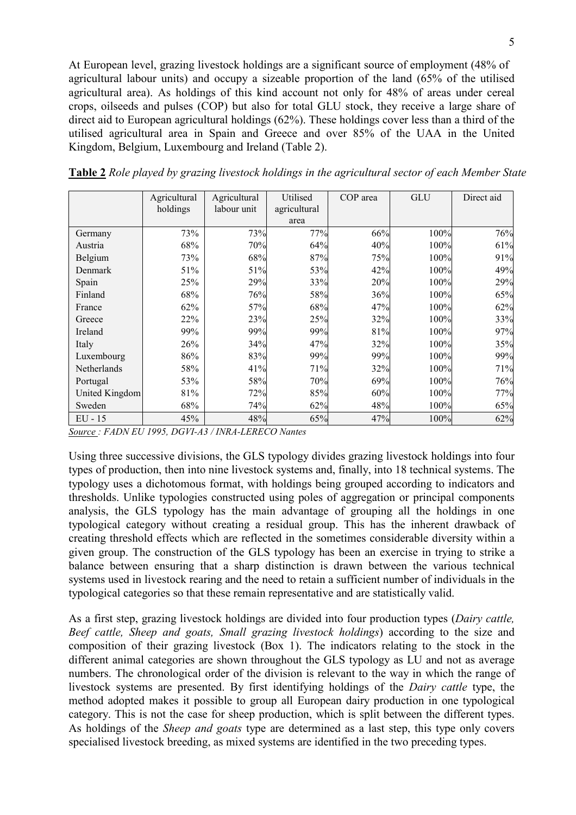At European level, grazing livestock holdings are a significant source of employment (48% of agricultural labour units) and occupy a sizeable proportion of the land (65% of the utilised agricultural area). As holdings of this kind account not only for 48% of areas under cereal crops, oilseeds and pulses (COP) but also for total GLU stock, they receive a large share of direct aid to European agricultural holdings (62%). These holdings cover less than a third of the utilised agricultural area in Spain and Greece and over 85% of the UAA in the United Kingdom, Belgium, Luxembourg and Ireland (Table 2).

|                | Agricultural | Agricultural | Utilised     | COP area | GLU  | Direct aid |
|----------------|--------------|--------------|--------------|----------|------|------------|
|                | holdings     | labour unit  | agricultural |          |      |            |
|                |              |              | area         |          |      |            |
| Germany        | 73%          | 73%          | 77%          | 66%      | 100% | 76%        |
| Austria        | 68%          | 70%          | 64%          | 40%      | 100% | 61%        |
| Belgium        | 73%          | 68%          | 87%          | 75%      | 100% | 91%        |
| Denmark        | 51%          | 51%          | 53%          | 42%      | 100% | 49%        |
| Spain          | 25%          | 29%          | 33%          | 20%      | 100% | 29%        |
| Finland        | 68%          | 76%          | 58%          | 36%      | 100% | 65%        |
| France         | 62%          | 57%          | 68%          | 47%      | 100% | 62%        |
| Greece         | 22%          | 23%          | 25%          | 32%      | 100% | 33%        |
| Ireland        | 99%          | 99%          | 99%          | 81%      | 100% | 97%        |
| Italy          | 26%          | 34%          | 47%          | 32%      | 100% | 35%        |
| Luxembourg     | 86%          | 83%          | 99%          | 99%      | 100% | 99%        |
| Netherlands    | 58%          | 41%          | 71%          | 32%      | 100% | 71%        |
| Portugal       | 53%          | 58%          | 70%          | 69%      | 100% | 76%        |
| United Kingdom | 81%          | 72%          | 85%          | 60%      | 100% | 77%        |
| Sweden         | 68%          | 74%          | 62%          | 48%      | 100% | 65%        |
| $EU - 15$      | 45%          | 48%          | 65%          | 47%      | 100% | 62%        |

Table 2 Role played by grazing livestock holdings in the agricultural sector of each Member State

Source : FADN EU 1995, DGVI-A3 / INRA-LERECO Nantes

Using three successive divisions, the GLS typology divides grazing livestock holdings into four types of production, then into nine livestock systems and, finally, into 18 technical systems. The typology uses a dichotomous format, with holdings being grouped according to indicators and thresholds. Unlike typologies constructed using poles of aggregation or principal components analysis, the GLS typology has the main advantage of grouping all the holdings in one typological category without creating a residual group. This has the inherent drawback of creating threshold effects which are reflected in the sometimes considerable diversity within a given group. The construction of the GLS typology has been an exercise in trying to strike a balance between ensuring that a sharp distinction is drawn between the various technical systems used in livestock rearing and the need to retain a sufficient number of individuals in the typological categories so that these remain representative and are statistically valid.

As a first step, grazing livestock holdings are divided into four production types (Dairy cattle, Beef cattle, Sheep and goats, Small grazing livestock holdings) according to the size and composition of their grazing livestock (Box 1). The indicators relating to the stock in the different animal categories are shown throughout the GLS typology as LU and not as average numbers. The chronological order of the division is relevant to the way in which the range of livestock systems are presented. By first identifying holdings of the Dairy cattle type, the method adopted makes it possible to group all European dairy production in one typological category. This is not the case for sheep production, which is split between the different types. As holdings of the *Sheep and goats* type are determined as a last step, this type only covers specialised livestock breeding, as mixed systems are identified in the two preceding types.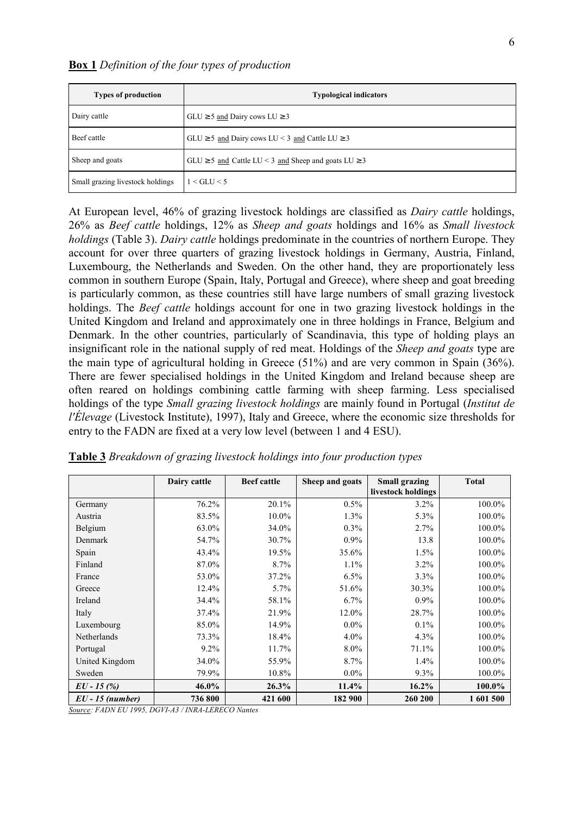| <b>Types of production</b>       | <b>Typological indicators</b>                                |
|----------------------------------|--------------------------------------------------------------|
| Dairy cattle                     | $GLU \ge 5$ and Dairy cows $LU \ge 3$                        |
| Beef cattle                      | $GLU \ge 5$ and Dairy cows $LU < 3$ and Cattle $LU \ge 3$    |
| Sheep and goats                  | $GLU \ge 5$ and Cattle LU < 3 and Sheep and goats LU $\ge 3$ |
| Small grazing livestock holdings | $1 <$ GLU $<$ 5                                              |

At European level, 46% of grazing livestock holdings are classified as Dairy cattle holdings, 26% as Beef cattle holdings, 12% as Sheep and goats holdings and 16% as Small livestock holdings (Table 3). Dairy cattle holdings predominate in the countries of northern Europe. They account for over three quarters of grazing livestock holdings in Germany, Austria, Finland, Luxembourg, the Netherlands and Sweden. On the other hand, they are proportionately less common in southern Europe (Spain, Italy, Portugal and Greece), where sheep and goat breeding is particularly common, as these countries still have large numbers of small grazing livestock holdings. The *Beef cattle* holdings account for one in two grazing livestock holdings in the United Kingdom and Ireland and approximately one in three holdings in France, Belgium and Denmark. In the other countries, particularly of Scandinavia, this type of holding plays an insignificant role in the national supply of red meat. Holdings of the Sheep and goats type are the main type of agricultural holding in Greece (51%) and are very common in Spain (36%). There are fewer specialised holdings in the United Kingdom and Ireland because sheep are often reared on holdings combining cattle farming with sheep farming. Less specialised holdings of the type Small grazing livestock holdings are mainly found in Portugal (Institut de l'Élevage (Livestock Institute), 1997), Italy and Greece, where the economic size thresholds for entry to the FADN are fixed at a very low level (between 1 and 4 ESU).

|                  | Dairy cattle | <b>Beef</b> cattle | Sheep and goats | <b>Small grazing</b><br>livestock holdings | <b>Total</b> |
|------------------|--------------|--------------------|-----------------|--------------------------------------------|--------------|
| Germany          | 76.2%        | 20.1%              | 0.5%            | 3.2%                                       | 100.0%       |
| Austria          | 83.5%        | 10.0%              | 1.3%            | 5.3%                                       | 100.0%       |
| Belgium          | 63.0%        | 34.0%              | $0.3\%$         | 2.7%                                       | 100.0%       |
| Denmark          | 54.7%        | 30.7%              | $0.9\%$         | 13.8                                       | 100.0%       |
| Spain            | 43.4%        | 19.5%              | 35.6%           | 1.5%                                       | 100.0%       |
| Finland          | 87.0%        | 8.7%               | $1.1\%$         | 3.2%                                       | 100.0%       |
| France           | 53.0%        | 37.2%              | 6.5%            | 3.3%                                       | 100.0%       |
| Greece           | $12.4\%$     | 5.7%               | 51.6%           | 30.3%                                      | 100.0%       |
| Ireland          | 34.4%        | 58.1%              | $6.7\%$         | 0.9%                                       | 100.0%       |
| Italy            | 37.4%        | 21.9%              | 12.0%           | 28.7%                                      | 100.0%       |
| Luxembourg       | 85.0%        | 14.9%              | $0.0\%$         | 0.1%                                       | 100.0%       |
| Netherlands      | 73.3%        | 18.4%              | $4.0\%$         | 4.3%                                       | 100.0%       |
| Portugal         | $9.2\%$      | 11.7%              | 8.0%            | 71.1%                                      | 100.0%       |
| United Kingdom   | 34.0%        | 55.9%              | 8.7%            | 1.4%                                       | 100.0%       |
| Sweden           | 79.9%        | 10.8%              | $0.0\%$         | 9.3%                                       | 100.0%       |
| $EU - 15(%)$     | 46.0%        | 26.3%              | 11.4%           | 16.2%                                      | 100.0%       |
| $EU-15$ (number) | 736 800      | 421 600            | 182 900         | 260 200                                    | 1 601 500    |

| Table 3 Breakdown of grazing livestock holdings into four production types |  |  |  |  |
|----------------------------------------------------------------------------|--|--|--|--|
|                                                                            |  |  |  |  |

Source: FADN EU 1995, DGVI-A3 / INRA-LERECO Nantes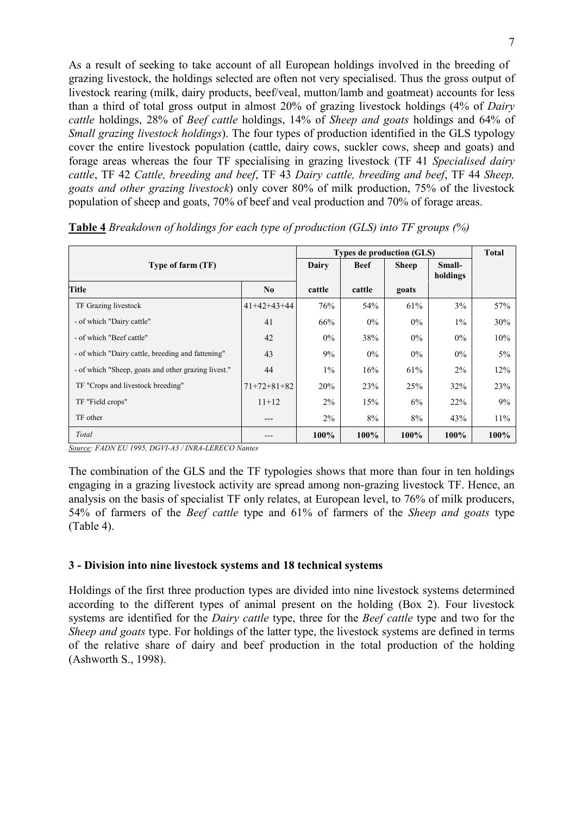As a result of seeking to take account of all European holdings involved in the breeding of grazing livestock, the holdings selected are often not very specialised. Thus the gross output of livestock rearing (milk, dairy products, beef/veal, mutton/lamb and goatmeat) accounts for less than a third of total gross output in almost 20% of grazing livestock holdings (4% of Dairy cattle holdings, 28% of Beef cattle holdings, 14% of Sheep and goats holdings and 64% of Small grazing livestock holdings). The four types of production identified in the GLS typology cover the entire livestock population (cattle, dairy cows, suckler cows, sheep and goats) and forage areas whereas the four TF specialising in grazing livestock (TF 41 Specialised dairy cattle, TF 42 Cattle, breeding and beef, TF 43 Dairy cattle, breeding and beef, TF 44 Sheep, goats and other grazing livestock) only cover 80% of milk production, 75% of the livestock population of sheep and goats, 70% of beef and veal production and 70% of forage areas.

|                                                     |               | <b>Types de production (GLS)</b> |             | <b>Total</b> |                    |       |
|-----------------------------------------------------|---------------|----------------------------------|-------------|--------------|--------------------|-------|
| Type of farm (TF)                                   |               | Dairy                            | <b>Beef</b> | <b>Sheep</b> | Small-<br>holdings |       |
| <b>Title</b>                                        | $\bf No$      | cattle                           | cattle      | goats        |                    |       |
| TF Grazing livestock                                | $41+42+43+44$ | 76%                              | 54%         | 61%          | 3%                 | 57%   |
| - of which "Dairy cattle"                           | 41            | 66%                              | $0\%$       | $0\%$        | $1\%$              | 30%   |
| - of which "Beef cattle"                            | 42            | $0\%$                            | 38%         | $0\%$        | $0\%$              | 10%   |
| - of which "Dairy cattle, breeding and fattening"   | 43            | 9%                               | $0\%$       | $0\%$        | $0\%$              | $5\%$ |
| - of which "Sheep, goats and other grazing livest." | 44            | $1\%$                            | 16%         | 61%          | $2\%$              | 12%   |
| TF "Crops and livestock breeding"                   | $71+72+81+82$ | 20%                              | 23%         | 25%          | 32%                | 23%   |
| TF "Field crops"                                    | $11+12$       | 2%                               | 15%         | 6%           | 22%                | 9%    |
| TF other                                            | ---           | 2%                               | 8%          | 8%           | 43%                | 11%   |
| Total                                               |               | 100%                             | 100%        | 100%         | 100%               | 100%  |

Table 4 Breakdown of holdings for each type of production (GLS) into TF groups (%)

Source: FADN EU 1995, DGVI-A3 / INRA-LERECO Nantes

The combination of the GLS and the TF typologies shows that more than four in ten holdings engaging in a grazing livestock activity are spread among non-grazing livestock TF. Hence, an analysis on the basis of specialist TF only relates, at European level, to 76% of milk producers, 54% of farmers of the Beef cattle type and 61% of farmers of the Sheep and goats type (Table 4).

#### 3 - Division into nine livestock systems and 18 technical systems

Holdings of the first three production types are divided into nine livestock systems determined according to the different types of animal present on the holding (Box 2). Four livestock systems are identified for the *Dairy cattle* type, three for the *Beef cattle* type and two for the Sheep and goats type. For holdings of the latter type, the livestock systems are defined in terms of the relative share of dairy and beef production in the total production of the holding (Ashworth S., 1998).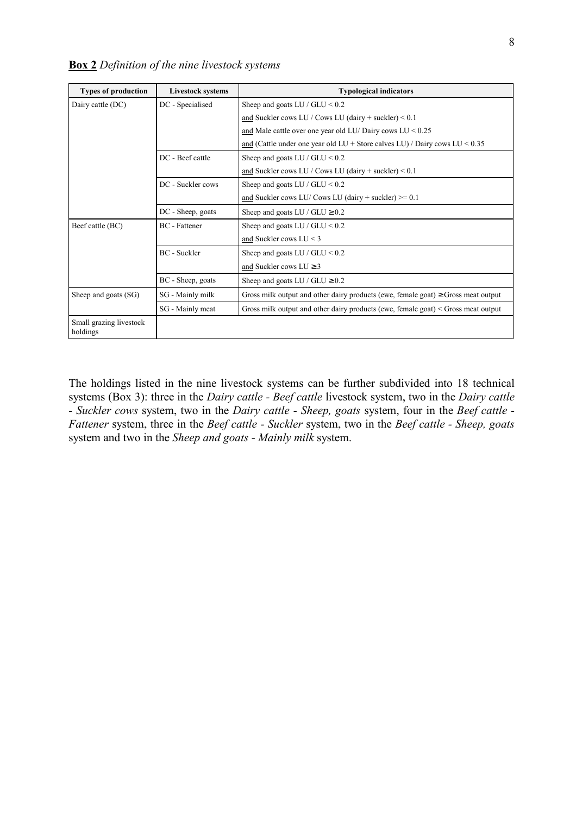|  | <b>Box 2</b> Definition of the nine livestock systems |  |  |  |
|--|-------------------------------------------------------|--|--|--|
|  |                                                       |  |  |  |

| <b>Types of production</b>          | <b>Livestock systems</b> | <b>Typological indicators</b>                                                          |
|-------------------------------------|--------------------------|----------------------------------------------------------------------------------------|
| Dairy cattle (DC)                   | DC - Specialised         | Sheep and goats LU / GLU $< 0.2$                                                       |
|                                     |                          | and Suckler cows LU / Cows LU (dairy + suckler) $< 0.1$                                |
|                                     |                          | and Male cattle over one year old LU/ Dairy cows $LU < 0.25$                           |
|                                     |                          | and (Cattle under one year old LU + Store calves LU) / Dairy cows LU < $0.35$          |
|                                     | DC - Beef cattle         | Sheep and goats LU / GLU $< 0.2$                                                       |
|                                     |                          | and Suckler cows LU / Cows LU (dairy + suckler) $< 0.1$                                |
|                                     | DC - Suckler cows        | Sheep and goats LU / GLU $< 0.2$                                                       |
|                                     |                          | and Suckler cows LU/Cows LU (dairy + suckler) $> = 0.1$                                |
|                                     | DC - Sheep, goats        | Sheep and goats LU / GLU $\geq 0.2$                                                    |
| Beef cattle (BC)                    | <b>BC</b> - Fattener     | Sheep and goats LU / $GLU < 0.2$                                                       |
|                                     |                          | and Suckler cows $LU < 3$                                                              |
|                                     | BC - Suckler             | Sheep and goats LU / GLU $< 0.2$                                                       |
|                                     |                          | and Suckler cows $LU \geq 3$                                                           |
|                                     | BC - Sheep, goats        | Sheep and goats LU / GLU $\geq 0.2$                                                    |
| Sheep and goats (SG)                | SG - Mainly milk         | Gross milk output and other dairy products (ewe, female goat) $\geq$ Gross meat output |
|                                     | SG - Mainly meat         | Gross milk output and other dairy products (ewe, female goat) $\le$ Gross meat output  |
| Small grazing livestock<br>holdings |                          |                                                                                        |

The holdings listed in the nine livestock systems can be further subdivided into 18 technical systems (Box 3): three in the *Dairy cattle - Beef cattle* livestock system, two in the *Dairy cattle* - Suckler cows system, two in the Dairy cattle - Sheep, goats system, four in the Beef cattle -Fattener system, three in the Beef cattle - Suckler system, two in the Beef cattle - Sheep, goats system and two in the Sheep and goats - Mainly milk system.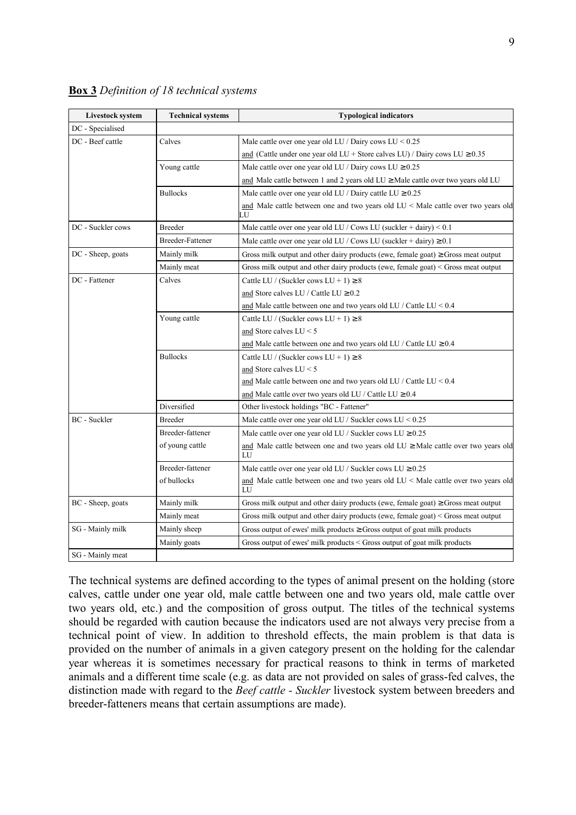| <b>Livestock system</b> | <b>Technical systems</b> | <b>Typological indicators</b>                                                                |
|-------------------------|--------------------------|----------------------------------------------------------------------------------------------|
| DC - Specialised        |                          |                                                                                              |
| DC - Beef cattle        | Calves                   | Male cattle over one year old LU / Dairy cows LU $< 0.25$                                    |
|                         |                          | and (Cattle under one year old LU + Store calves LU) / Dairy cows LU $\geq 0.35$             |
|                         | Young cattle             | Male cattle over one year old LU / Dairy cows LU $\geq 0.25$                                 |
|                         |                          | and Male cattle between 1 and 2 years old $LU \geq$ Male cattle over two years old LU        |
|                         | <b>Bullocks</b>          | Male cattle over one year old LU / Dairy cattle LU $\geq 0.25$                               |
|                         |                          | and Male cattle between one and two years old $LU <$ Male cattle over two years old<br>LU    |
| DC - Suckler cows       | <b>Breeder</b>           | Male cattle over one year old LU / Cows LU (suckler + dairy) < 0.1                           |
|                         | <b>Breeder-Fattener</b>  | Male cattle over one year old LU / Cows LU (suckler + dairy) $\geq 0.1$                      |
| DC - Sheep, goats       | Mainly milk              | Gross milk output and other dairy products (ewe, female goat) $\geq$ Gross meat output       |
|                         | Mainly meat              | Gross milk output and other dairy products (ewe, female goat) $\leq$ Gross meat output       |
| DC - Fattener           | Calves                   | Cattle LU / (Suckler cows LU + 1) $\geq 8$                                                   |
|                         |                          | and Store calves LU / Cattle LU $\geq 0.2$                                                   |
|                         |                          | and Male cattle between one and two years old LU / Cattle LU < $0.4$                         |
|                         | Young cattle             | Cattle LU / (Suckler cows LU + 1) $\geq 8$                                                   |
|                         |                          | and Store calves $LU < 5$                                                                    |
|                         |                          | and Male cattle between one and two years old LU / Cattle LU $\geq 0.4$                      |
|                         | <b>Bullocks</b>          | Cattle LU / (Suckler cows LU + 1) $\geq 8$                                                   |
|                         |                          | and Store calves $LU < 5$                                                                    |
|                         |                          | and Male cattle between one and two years old LU / Cattle LU $< 0.4$                         |
|                         |                          | and Male cattle over two years old LU / Cattle LU $\geq$ 0.4                                 |
|                         | Diversified              | Other livestock holdings "BC - Fattener"                                                     |
| BC - Suckler            | <b>Breeder</b>           | Male cattle over one year old LU / Suckler cows LU $< 0.25$                                  |
|                         | Breeder-fattener         | Male cattle over one year old LU / Suckler cows LU $\geq 0.25$                               |
|                         | of young cattle          | and Male cattle between one and two years old $LU \geq$ Male cattle over two years old<br>LU |
|                         | Breeder-fattener         | Male cattle over one year old LU / Suckler cows LU $\geq 0.25$                               |
|                         | of bullocks              | and Male cattle between one and two years old $LU <$ Male cattle over two years old<br>LU    |
| BC - Sheep, goats       | Mainly milk              | Gross milk output and other dairy products (ewe, female goat) $\geq$ Gross meat output       |
|                         | Mainly meat              | Gross milk output and other dairy products (ewe, female goat) < Gross meat output            |
| SG - Mainly milk        | Mainly sheep             | Gross output of ewes' milk products $\geq$ Gross output of goat milk products                |
|                         | Mainly goats             | Gross output of ewes' milk products $\leq$ Gross output of goat milk products                |
| SG - Mainly meat        |                          |                                                                                              |

### **Box 3** Definition of 18 technical systems

The technical systems are defined according to the types of animal present on the holding (store calves, cattle under one year old, male cattle between one and two years old, male cattle over two years old, etc.) and the composition of gross output. The titles of the technical systems should be regarded with caution because the indicators used are not always very precise from a technical point of view. In addition to threshold effects, the main problem is that data is provided on the number of animals in a given category present on the holding for the calendar year whereas it is sometimes necessary for practical reasons to think in terms of marketed animals and a different time scale (e.g. as data are not provided on sales of grass-fed calves, the distinction made with regard to the Beef cattle - Suckler livestock system between breeders and breeder-fatteners means that certain assumptions are made).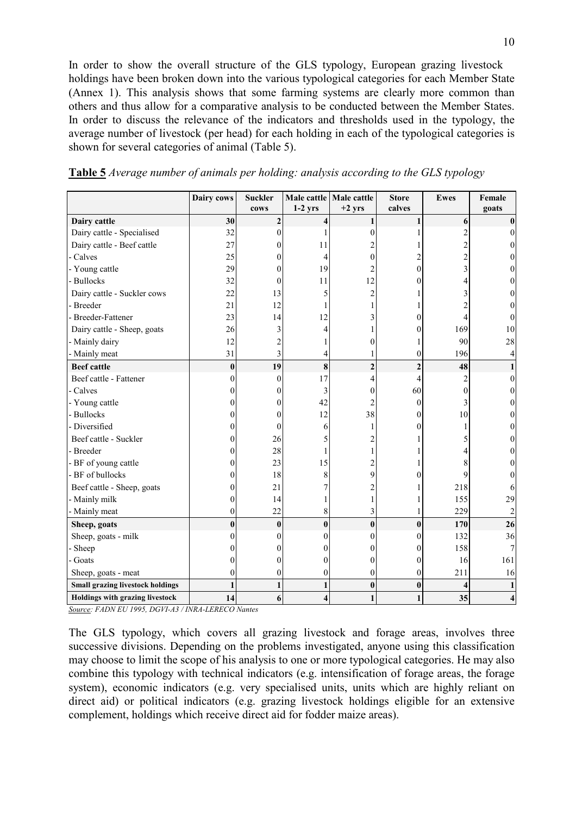In order to show the overall structure of the GLS typology, European grazing livestock holdings have been broken down into the various typological categories for each Member State (Annex 1). This analysis shows that some farming systems are clearly more common than others and thus allow for a comparative analysis to be conducted between the Member States. In order to discuss the relevance of the indicators and thresholds used in the typology, the average number of livestock (per head) for each holding in each of the typological categories is shown for several categories of animal (Table 5).

|                                         | Dairy cows     | <b>Suckler</b>          | Male cattle | Male cattle    | <b>Store</b>     | <b>Ewes</b>         | Female |
|-----------------------------------------|----------------|-------------------------|-------------|----------------|------------------|---------------------|--------|
|                                         |                | cows                    | $1-2$ yrs   | $+2$ yrs       | calves           |                     | goats  |
| Dairy cattle                            | 30             | $\overline{\mathbf{c}}$ |             |                |                  | 6                   | 0      |
| Dairy cattle - Specialised              | 32             | 0                       |             | 0              |                  | 2                   |        |
| Dairy cattle - Beef cattle              | 27             | 0                       | 11          |                |                  | $\overline{c}$      |        |
| - Calves                                | 25             | 0                       | 4           | 0              |                  | $\overline{c}$      |        |
| - Young cattle                          | 29             | 0                       | 19          | 2              | $\theta$         | 3                   |        |
| - Bullocks                              | 32             | 0                       | 11          | 12             | $\theta$         | 4                   |        |
| Dairy cattle - Suckler cows             | 22             | 13                      |             | 2              |                  | 3                   |        |
| - Breeder                               | 21             | 12                      |             |                |                  | $\overline{c}$      | 0      |
| - Breeder-Fattener                      | 23             | 14                      | 12          |                | 0                | 4                   | $_{0}$ |
| Dairy cattle - Sheep, goats             | 26             | 3                       |             |                | $\theta$         | 169                 | 10     |
| - Mainly dairy                          | 12             | 2                       |             | 0              |                  | 90                  | 28     |
| - Mainly meat                           | 31             | 3                       |             |                | $\boldsymbol{0}$ | 196                 |        |
| <b>Beef</b> cattle                      | $\bf{0}$       | 19                      | 8           | $\overline{c}$ | $\overline{c}$   | 48                  |        |
| Beef cattle - Fattener                  | 0              | 0                       | 17          | 4              | 4                | $\overline{c}$      | 0      |
| - Calves                                | 0              | 0                       | 3           | 0              | 60               | $\boldsymbol{0}$    |        |
| - Young cattle                          | 0              | 0                       | 42          |                | $\mathbf{0}$     | 3                   |        |
| - Bullocks                              | 0              | 0                       | 12          | 38             | $\theta$         | 10                  |        |
| - Diversified                           | 0              | 0                       | 6           |                | $\Omega$         |                     |        |
| Beef cattle - Suckler                   | $\theta$       | 26                      |             |                |                  | 5                   |        |
| - Breeder                               | 0              | 28                      |             |                |                  | 4                   | 0      |
| - BF of young cattle                    | 0              | 23                      | 15          |                |                  | 8                   | 0      |
| - BF of bullocks                        | 0              | 18                      | 8           | 9              | $\Omega$         | 9                   | $_{0}$ |
| Beef cattle - Sheep, goats              | 0              | 21                      |             | 2              |                  | 218                 |        |
| - Mainly milk                           | $\theta$       | 14                      |             |                |                  | 155                 | 29     |
| - Mainly meat                           | $\overline{0}$ | 22                      | 8           | 3              |                  | 229                 |        |
| Sheep, goats                            | $\bf{0}$       | $\bf{0}$                | $\bf{0}$    | $\bf{0}$       | $\bf{0}$         | 170                 | 26     |
| Sheep, goats - milk                     | $\theta$       | 0                       |             | 0              | $\theta$         | 132                 | 36     |
| Sheep                                   | 0              |                         |             | 0              | $\boldsymbol{0}$ | 158                 |        |
| - Goats                                 | 0              |                         |             | 0              | $\mathbf{0}$     | 16                  | 161    |
| Sheep, goats - meat                     | $\overline{0}$ | 0                       | 0           | $\mathbf{0}$   | $\boldsymbol{0}$ | 211                 | 16     |
| <b>Small grazing livestock holdings</b> | 1              |                         |             | $\bf{0}$       | $\bf{0}$         | $\overline{\bf{4}}$ |        |
| Holdings with grazing livestock         | 14             | 6                       | 4           | 1              | $\mathbf{1}$     | 35                  |        |

Table 5 Average number of animals per holding: analysis according to the GLS typology

Source: FADN EU 1995, DGVI-A3 / INRA-LERECO Nantes

The GLS typology, which covers all grazing livestock and forage areas, involves three successive divisions. Depending on the problems investigated, anyone using this classification may choose to limit the scope of his analysis to one or more typological categories. He may also combine this typology with technical indicators (e.g. intensification of forage areas, the forage system), economic indicators (e.g. very specialised units, units which are highly reliant on direct aid) or political indicators (e.g. grazing livestock holdings eligible for an extensive complement, holdings which receive direct aid for fodder maize areas).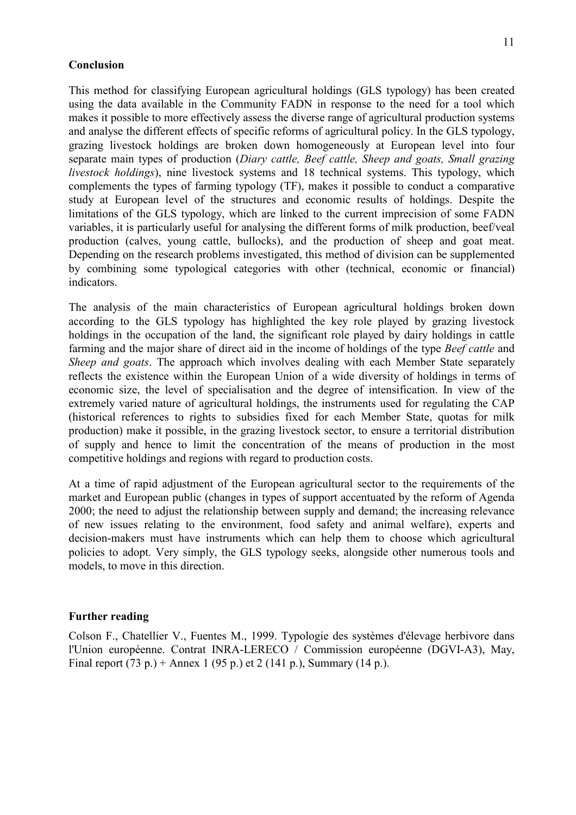#### **Conclusion**

This method for classifying European agricultural holdings (GLS typology) has been created using the data available in the Community FADN in response to the need for a tool which makes it possible to more effectively assess the diverse range of agricultural production systems and analyse the different effects of specific reforms of agricultural policy. In the GLS typology, grazing livestock holdings are broken down homogeneously at European level into four separate main types of production (Diary cattle, Beef cattle, Sheep and goats, Small grazing livestock holdings), nine livestock systems and 18 technical systems. This typology, which complements the types of farming typology (TF), makes it possible to conduct a comparative study at European level of the structures and economic results of holdings. Despite the limitations of the GLS typology, which are linked to the current imprecision of some FADN variables, it is particularly useful for analysing the different forms of milk production, beef/veal production (calves, young cattle, bullocks), and the production of sheep and goat meat. Depending on the research problems investigated, this method of division can be supplemented by combining some typological categories with other (technical, economic or financial) indicators.

The analysis of the main characteristics of European agricultural holdings broken down according to the GLS typology has highlighted the key role played by grazing livestock holdings in the occupation of the land, the significant role played by dairy holdings in cattle farming and the major share of direct aid in the income of holdings of the type *Beef cattle* and Sheep and goats. The approach which involves dealing with each Member State separately reflects the existence within the European Union of a wide diversity of holdings in terms of economic size, the level of specialisation and the degree of intensification. In view of the extremely varied nature of agricultural holdings, the instruments used for regulating the CAP (historical references to rights to subsidies fixed for each Member State, quotas for milk production) make it possible, in the grazing livestock sector, to ensure a territorial distribution of supply and hence to limit the concentration of the means of production in the most competitive holdings and regions with regard to production costs.

At a time of rapid adjustment of the European agricultural sector to the requirements of the market and European public (changes in types of support accentuated by the reform of Agenda 2000; the need to adjust the relationship between supply and demand; the increasing relevance of new issues relating to the environment, food safety and animal welfare), experts and decision-makers must have instruments which can help them to choose which agricultural policies to adopt. Very simply, the GLS typology seeks, alongside other numerous tools and models, to move in this direction.

#### Further reading

Colson F., Chatellier V., Fuentes M., 1999. Typologie des systèmes d'élevage herbivore dans l'Union européenne. Contrat INRA-LERECO / Commission européenne (DGVI-A3), May, Final report (73 p.) + Annex 1 (95 p.) et 2 (141 p.), Summary (14 p.).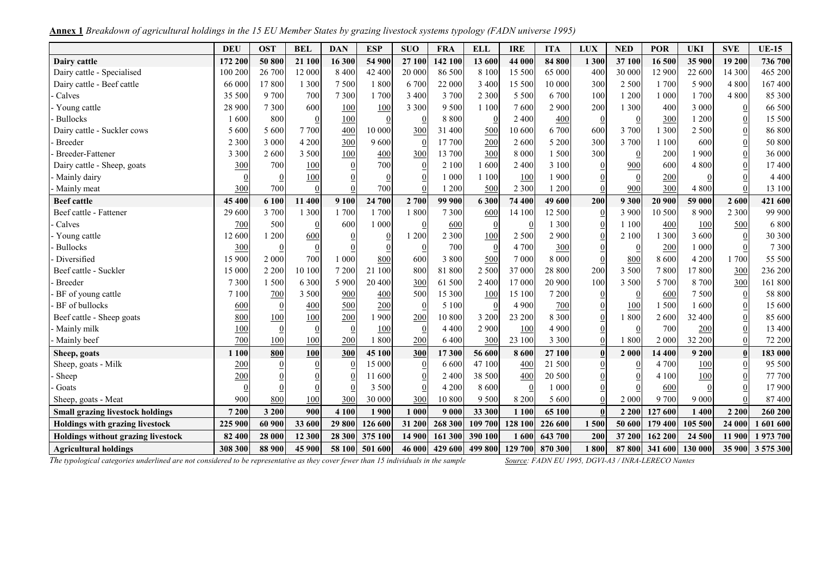Annex 1 Breakdown of agricultural holdings in the 15 EU Member States by grazing livestock systems typology (FADN universe 1995)

|                                         | <b>DEU</b> | <b>OST</b> | <b>BEL</b>       | <b>DAN</b>     | <b>ESP</b>   | <b>SUO</b> | <b>FRA</b> | <b>ELL</b>       | <b>IRE</b>     | <b>ITA</b> | <b>LUX</b> | <b>NED</b>       | <b>POR</b> | <b>UKI</b> | <b>SVE</b>       | <b>UE-15</b> |
|-----------------------------------------|------------|------------|------------------|----------------|--------------|------------|------------|------------------|----------------|------------|------------|------------------|------------|------------|------------------|--------------|
| Dairy cattle                            | 172 200    | 50 800     | 21 100           | 16 300         | 54 900       | 27 100     | 142 100    | 13 600           | 44 000         | 84 800     | 1 300      | 37 100           | 16 500     | 35 900     | 19 200           | 736 700      |
| Dairy cattle - Specialised              | 100 200    | 26 700     | 12 000           | 8 4 0 0        | 42 400       | 20 000     | 86 500     | 8 1 0 0          | 15 500         | 65 000     | 400        | 30 000           | 12 900     | 22 600     | 14 300           | 465 200      |
| Dairy cattle - Beef cattle              | 66 000     | 17 800     | 1 300            | 7 500          | 1800         | 6 700      | 22 000     | 3 400            | 15 500         | 10 000     | 300        | 2 500            | 1700       | 5 9 0 0    | 4 8 0 0          | 167 400      |
| Calves                                  | 35 500     | 9 700      | 700              | 7 3 0 0        | 1700         | 3 4 0 0    | 3 700      | 2 3 0 0          | 5 5 0 0        | 6 700      | 100        | 1 200            | 1 000      | 1700       | 4800             | 85 300       |
| Young cattle                            | 28 900     | 7 3 0 0    | 600              | 100            | 100          | 3 3 0 0    | 9 5 0 0    | 1 100            | 7600           | 2 9 0 0    | 200        | 1 300            | 400        | 3 000      | $\overline{0}$   | 66 500       |
| <b>Bullocks</b>                         | 1600       | 800        | $\overline{0}$   | 100            | $\Omega$     |            | 8 8 0 0    | $\overline{0}$   | 2 4 0 0        | 400        |            |                  | 300        | 1 200      | $\theta$         | 15 500       |
| Dairy cattle - Suckler cows             | 5 600      | 5 600      | 7 700            | 400            | 10 000       | 300        | 31 400     | 500              | 10 600         | 6700       | 600        | 3 700            | 1 300      | 2 5 0 0    | $\theta$         | 86 800       |
| <b>Breeder</b>                          | 2 3 0 0    | 3 000      | 4 200            | 300            | 9600         |            | 17 700     | 200              | 2 600          | 5 200      | 300        | 3 700            | 1 100      | 600        | $\overline{0}$   | 50 800       |
| <b>Breeder-Fattener</b>                 | 3 3 0 0    | 2 600      | 3 500            | 100            | 400          | 300        | 13 700     | 300              | 8 0 0 0        | 1500       | 300        | $\boldsymbol{0}$ | 200        | 1 900      | $\theta$         | 36 000       |
| Dairy cattle - Sheep, goats             | 300        | 700        | 100              | $\overline{0}$ | 700          | $\theta$   | 2 100      | 1600             | 2 4 0 0        | 3 100      |            | 900              | 600        | 4 800      | $\Omega$         | 17 400       |
| Mainly dairy                            |            |            | 100              | $\mathbf 0$    | $\Omega$     |            | 1 000      | 1 100            | 100            | 1900       |            |                  | 200        |            |                  | 4 4 0 0      |
| Mainly meat                             | 300        | 700        | $\theta$         | $\overline{0}$ | 700          |            | 1 200      | 500              | 2 3 0 0        | 1 200      |            | 900              | 300        | 4 800      | $\theta$         | 13 100       |
| <b>Beef</b> cattle                      | 45 400     | 6 100      | 11 400           | 9 100          | 24 700       | 2 700      | 99 900     | 6 300            | 74 400         | 49 600     | 200        | 9 3 0 0          | 20 900     | 59 000     | 2 600            | 421 600      |
| Beef cattle - Fattener                  | 29 600     | 3 700      | 1 300            | 1 700          | 1700         | 1800       | 7 3 0 0    | 600              | 14 100         | 12 500     |            | 3 9 0 0          | 10 500     | 8 9 0 0    | 2 3 0 0          | 99 900       |
| Calves                                  | 700        | 500        | $\boldsymbol{0}$ | 600            | 1 000        |            | 600        | $\overline{0}$   | $\overline{0}$ | 1 300      |            | 1 100            | 400        | 100        | 500              | 6 800        |
| Young cattle                            | 12 600     | 1 200      | 600              | $\overline{0}$ | $\mathbf{0}$ | 1 200      | 2 3 0 0    | 100              | 2 500          | 2 9 0 0    |            | 2 100            | 1 300      | 3 600      | $\boldsymbol{0}$ | 30 300       |
| <b>Bullocks</b>                         | 300        |            | $\overline{0}$   | $\overline{0}$ |              |            | 700        | $\overline{0}$   | 4 700          | 300        |            |                  | 200        | 1 000      | $\theta$         | 7 3 0 0      |
| Diversified                             | 15 900     | 2 000      | 700              | 1 000          | 800          | 600        | 3 800      | 500              | 7 000          | 8 0 0 0    |            | 800              | 8 600      | 4 200      | 1700             | 55 500       |
| Beef cattle - Suckler                   | 15 000     | 2 2 0 0    | 10 100           | 7 200          | 21 100       | 800        | 81 800     | 2 500            | 37 000         | 28 800     | 200        | 3 500            | 7800       | 17800      | 300              | 236 200      |
| <b>Breeder</b>                          | 7 3 0 0    | 1 500      | 6 3 0 0          | 5 9 0 0        | 20 400       | 300        | 61 500     | 2 4 0 0          | 17 000         | 20 900     | 100        | 3 500            | 5 700      | 8 700      | 300              | 161 800      |
| BF of young cattle                      | 7 100      | 700        | 3 500            | 900            | 400          | 500        | 15 300     | <b>100</b>       | 15 100         | 7 200      |            |                  | 600        | 7 500      | $\overline{0}$   | 58 800       |
| BF of bullocks                          | 600        |            | 400              | 500            | 200          |            | 5 100      | $\boldsymbol{0}$ | 4 9 0 0        | 700        |            | 100              | 1500       | 1600       | $\boldsymbol{0}$ | 15 600       |
| Beef cattle - Sheep goats               | 800        | 100        | 100              | 200            | 1 900        | 200        | 10 800     | 3 200            | 23 200         | 8 3 0 0    |            | 1800             | 2600       | 32 400     |                  | 85 600       |
| Mainly milk                             | 100        |            | $\boldsymbol{0}$ | $\overline{0}$ | 100          |            | 4 4 0 0    | 2 900            | 100            | 4 9 0 0    |            | $\Omega$         | 700        | 200        |                  | 13 400       |
| Mainly beef                             | 700        | 100        | 100              | 200            | 1800         | 200        | 6 4 0 0    | 300              | 23 100         | 3 3 0 0    |            | 1 800            | 2 000      | 32 200     | $\boldsymbol{0}$ | 72 200       |
| Sheep, goats                            | 1 100      | 800        | 100              | 300            | 45 100       | 300        | 17 300     | 56 600           | 8 600          | 27 100     |            | 2 000            | 14 400     | 9 200      | $\pmb{0}$        | 183 000      |
| Sheep, goats - Milk                     | 200        |            |                  | $\overline{0}$ | 15 000       |            | 6 600      | 47 100           | 400            | 21 500     |            |                  | 4 700      | 100        | $\theta$         | 95 500       |
| Sheep                                   | 200        |            |                  | $\mathbf 0$    | 11 600       |            | 2 4 0 0    | 38 500           | 400            | 20 500     |            |                  | 4 100      | 100        | $\Omega$         | 77 700       |
| Goats                                   |            |            |                  | $\sqrt{ }$     | 3 500        |            | 4 2 0 0    | 8 600            | $\overline{0}$ | 1 000      |            |                  | 600        |            |                  | 17 900       |
| Sheep, goats - Meat                     | 900        | 800        | 100              | 300            | 30 000       | 300        | 10 800     | 9 5 0 0          | 8 2 0 0        | 5 600      |            | 2 0 0 0          | 9 700      | 9 0 0 0    | $\Omega$         | 87 400       |
| <b>Small grazing livestock holdings</b> | 7 200      | 3 200      | 900              | 4 100          | 1900         | 1 000      | 9 0 0 0    | 33 300           | 1 100          | 65 100     |            | 2 2 0 0          | 127 600    | 1 400      | 2 2 0 0          | 260 200      |
| <b>Holdings with grazing livestock</b>  | 225 900    | 60 900     | 33 600           | 29 800         | 126 600      | 31 200     | 268 300    | 109 700          | 128 100        | 226 600    | 1500       | 50 600           | 179 400    | 105 500    | 24 000           | 601 600      |
| Holdings without grazing livestock      | 82 400     | 28 000     | 12 300           | 28 300         | 375 100      | 14 900     | 161 300    | 390 100          | 1600           | 643 700    | 200        | 37 200           | 162 200    | 24 500     | 11 900           | 1973700      |
| <b>Agricultural holdings</b>            | 308 300    | 88 900     | 45 900           | 58 100         | 501 600      | 46 000     | 429 600    | 499 800          | 129 700        | 870 300    | 1800       | 87 800           | 341 600    | 130 000    | 35 900           | 3 575 300    |

The typological categories underlined are not considered to be representative as they cover fewer than 15 individuals in the sample Source: FADN EU 1995, DGVI-A3 / INRA-LERECO Nantes